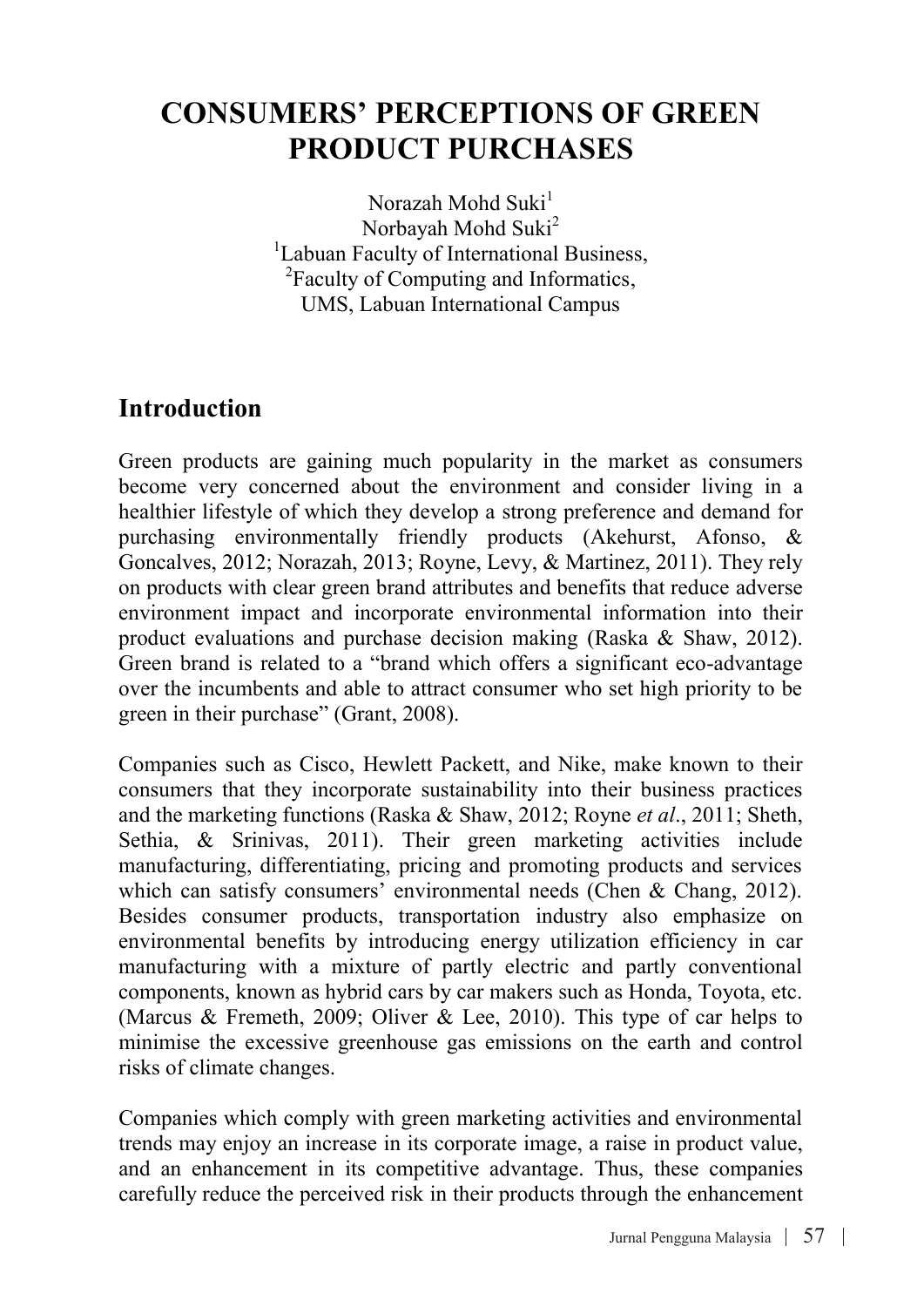# **CONSUMERS' PERCEPTIONS OF GREEN PRODUCT PURCHASES**

Norazah Mohd Suki $<sup>1</sup>$ </sup> Norbayah Mohd Suki<sup>2</sup> <sup>1</sup>Labuan Faculty of International Business,  $\frac{2\text{Eoculty of Computation and Informatics}}{}$ <sup>2</sup>Faculty of Computing and Informatics, UMS, Labuan International Campus

### **Introduction**

Green products are gaining much popularity in the market as consumers become very concerned about the environment and consider living in a healthier lifestyle of which they develop a strong preference and demand for purchasing environmentally friendly products (Akehurst, Afonso, & Goncalves, 2012; Norazah, 2013; Royne, Levy, & Martinez, 2011). They rely on products with clear green brand attributes and benefits that reduce adverse environment impact and incorporate environmental information into their product evaluations and purchase decision making (Raska & Shaw, 2012). Green brand is related to a "brand which offers a significant eco-advantage over the incumbents and able to attract consumer who set high priority to be green in their purchase" (Grant, 2008).

Companies such as Cisco, Hewlett Packett, and Nike, make known to their consumers that they incorporate sustainability into their business practices and the marketing functions (Raska & Shaw, 2012; Royne *et al*., 2011; Sheth, Sethia, & Srinivas, 2011). Their green marketing activities include manufacturing, differentiating, pricing and promoting products and services which can satisfy consumers' environmental needs (Chen & Chang, 2012). Besides consumer products, transportation industry also emphasize on environmental benefits by introducing energy utilization efficiency in car manufacturing with a mixture of partly electric and partly conventional components, known as hybrid cars by car makers such as Honda, Toyota, etc. (Marcus & Fremeth, 2009; Oliver & Lee, 2010). This type of car helps to minimise the excessive greenhouse gas emissions on the earth and control risks of climate changes.

Companies which comply with green marketing activities and environmental trends may enjoy an increase in its corporate image, a raise in product value, and an enhancement in its competitive advantage. Thus, these companies carefully reduce the perceived risk in their products through the enhancement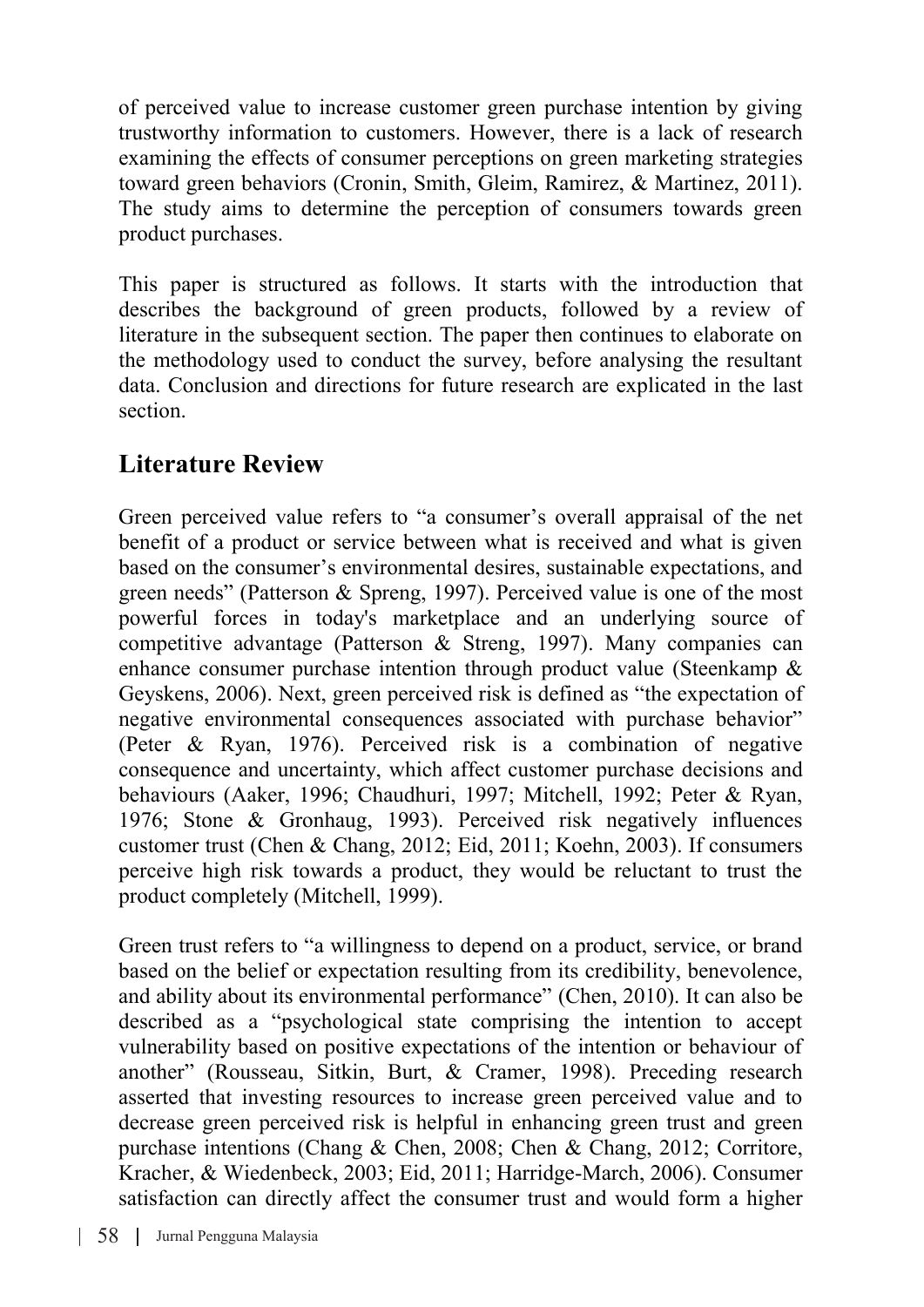of perceived value to increase customer green purchase intention by giving trustworthy information to customers. However, there is a lack of research examining the effects of consumer perceptions on green marketing strategies toward green behaviors (Cronin, Smith, Gleim, Ramirez, & Martinez, 2011). The study aims to determine the perception of consumers towards green product purchases.

This paper is structured as follows. It starts with the introduction that describes the background of green products, followed by a review of literature in the subsequent section. The paper then continues to elaborate on the methodology used to conduct the survey, before analysing the resultant data. Conclusion and directions for future research are explicated in the last section.

### **Literature Review**

Green perceived value refers to "a consumer's overall appraisal of the net benefit of a product or service between what is received and what is given based on the consumer's environmental desires, sustainable expectations, and green needs" (Patterson & Spreng, 1997). Perceived value is one of the most powerful forces in today's marketplace and an underlying source of competitive advantage (Patterson & Streng, 1997). Many companies can enhance consumer purchase intention through product value (Steenkamp & Geyskens, 2006). Next, green perceived risk is defined as "the expectation of negative environmental consequences associated with purchase behavior" (Peter & Ryan, 1976). Perceived risk is a combination of negative consequence and uncertainty, which affect customer purchase decisions and behaviours (Aaker, 1996; Chaudhuri, 1997; Mitchell, 1992; Peter & Ryan, 1976; Stone & Gronhaug, 1993). Perceived risk negatively influences customer trust (Chen & Chang, 2012; Eid, 2011; Koehn, 2003). If consumers perceive high risk towards a product, they would be reluctant to trust the product completely (Mitchell, 1999).

Green trust refers to "a willingness to depend on a product, service, or brand based on the belief or expectation resulting from its credibility, benevolence, and ability about its environmental performance" (Chen, 2010). It can also be described as a "psychological state comprising the intention to accept vulnerability based on positive expectations of the intention or behaviour of another" (Rousseau, Sitkin, Burt, & Cramer, 1998). Preceding research asserted that investing resources to increase green perceived value and to decrease green perceived risk is helpful in enhancing green trust and green purchase intentions (Chang & Chen, 2008; Chen & Chang, 2012; Corritore, Kracher, & Wiedenbeck, 2003; Eid, 2011; Harridge-March, 2006). Consumer satisfaction can directly affect the consumer trust and would form a higher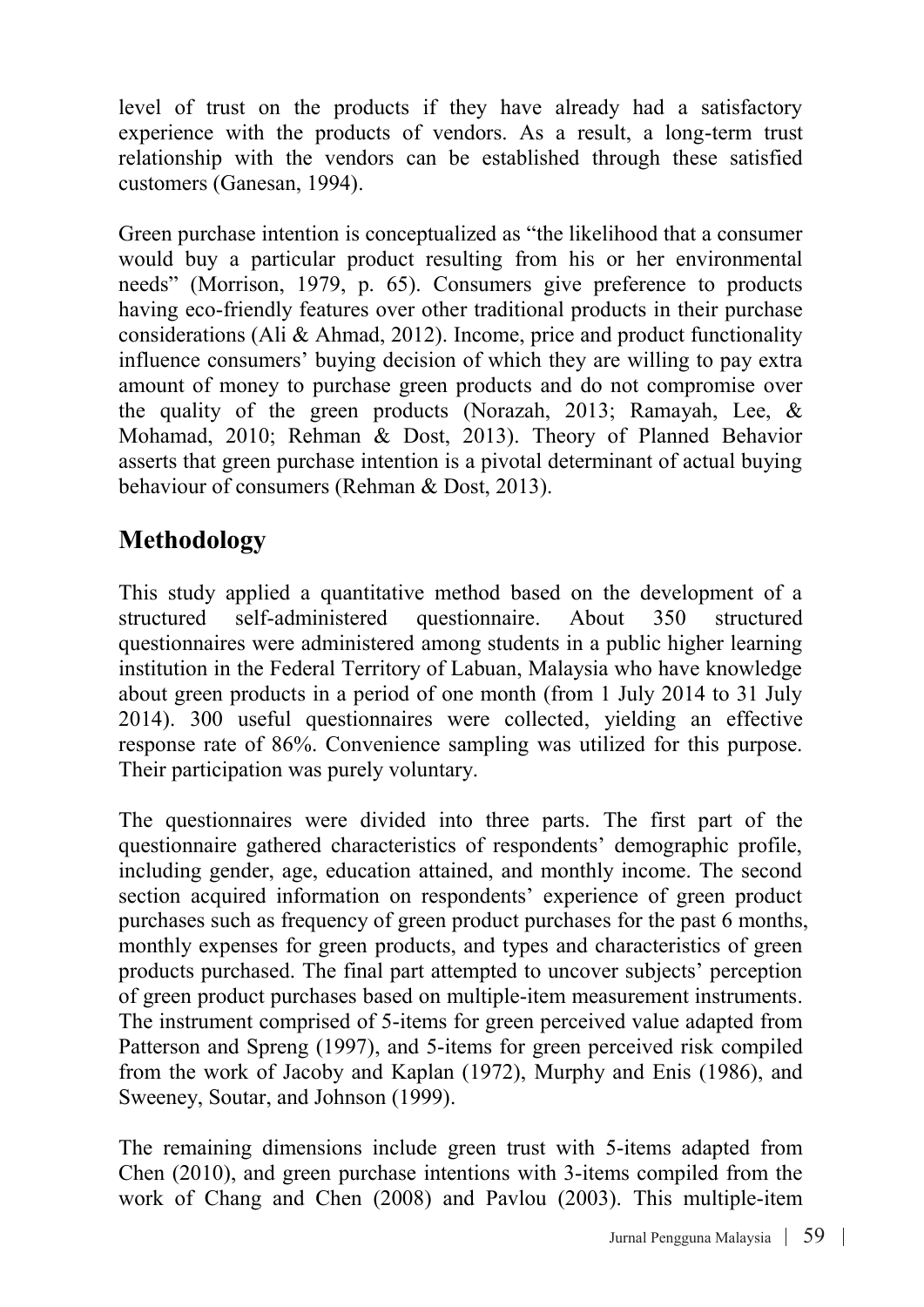level of trust on the products if they have already had a satisfactory experience with the products of vendors. As a result, a long-term trust relationship with the vendors can be established through these satisfied customers (Ganesan, 1994).

Green purchase intention is conceptualized as "the likelihood that a consumer would buy a particular product resulting from his or her environmental needs" (Morrison, 1979, p. 65). Consumers give preference to products having eco-friendly features over other traditional products in their purchase considerations (Ali & Ahmad, 2012). Income, price and product functionality influence consumers' buying decision of which they are willing to pay extra amount of money to purchase green products and do not compromise over the quality of the green products (Norazah, 2013; Ramayah, Lee, & Mohamad, 2010; Rehman & Dost, 2013). Theory of Planned Behavior asserts that green purchase intention is a pivotal determinant of actual buying behaviour of consumers (Rehman & Dost, 2013).

# **Methodology**

This study applied a quantitative method based on the development of a structured self-administered questionnaire. About 350 structured questionnaires were administered among students in a public higher learning institution in the Federal Territory of Labuan, Malaysia who have knowledge about green products in a period of one month (from 1 July 2014 to 31 July 2014). 300 useful questionnaires were collected, yielding an effective response rate of 86%. Convenience sampling was utilized for this purpose. Their participation was purely voluntary.

The questionnaires were divided into three parts. The first part of the questionnaire gathered characteristics of respondents' demographic profile, including gender, age, education attained, and monthly income. The second section acquired information on respondents' experience of green product purchases such as frequency of green product purchases for the past 6 months, monthly expenses for green products, and types and characteristics of green products purchased. The final part attempted to uncover subjects' perception of green product purchases based on multiple-item measurement instruments. The instrument comprised of 5-items for green perceived value adapted from Patterson and Spreng (1997), and 5-items for green perceived risk compiled from the work of Jacoby and Kaplan (1972), Murphy and Enis (1986), and Sweeney, Soutar, and Johnson (1999).

The remaining dimensions include green trust with 5-items adapted from Chen (2010), and green purchase intentions with 3-items compiled from the work of Chang and Chen (2008) and Pavlou (2003). This multiple-item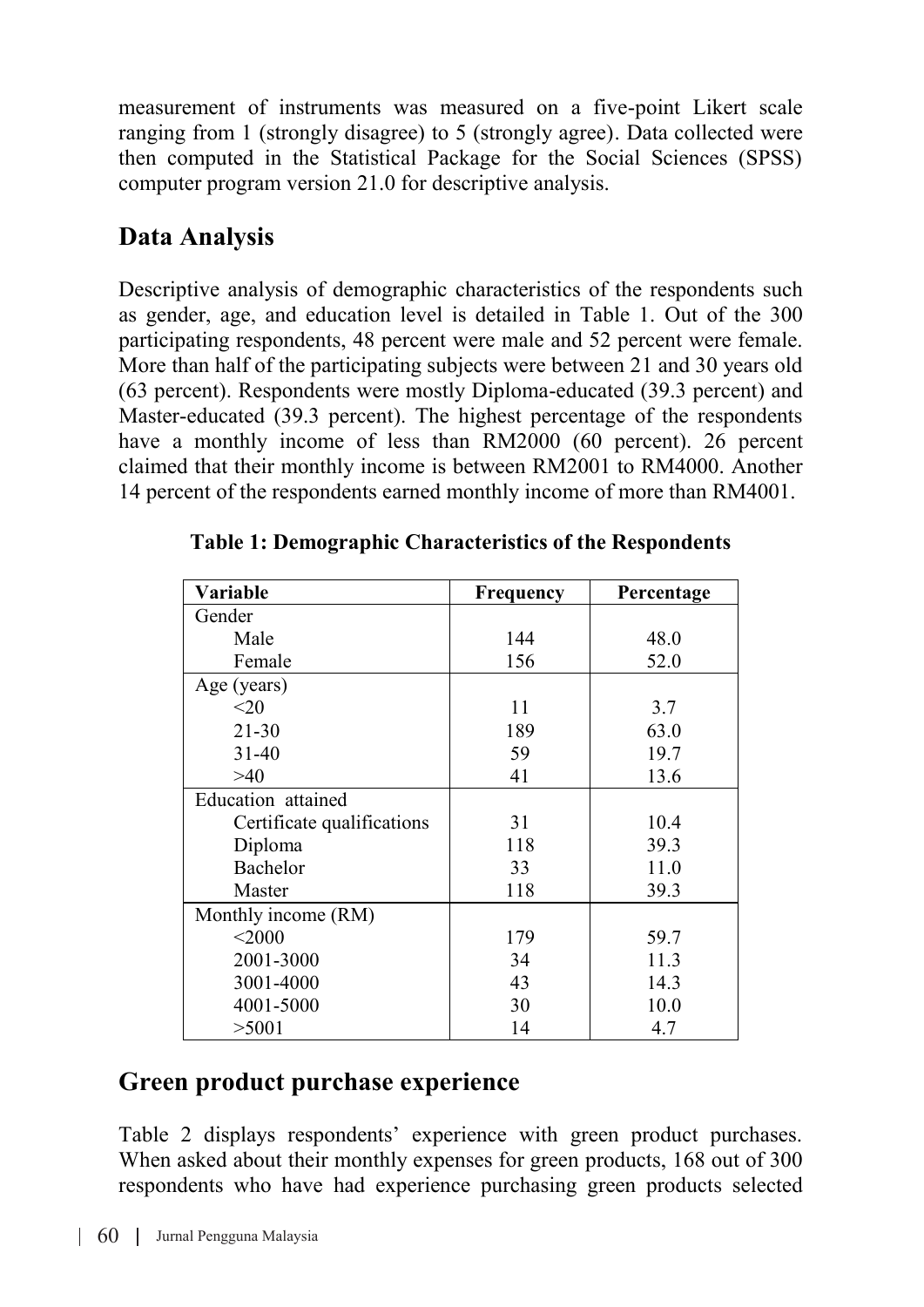measurement of instruments was measured on a five-point Likert scale ranging from 1 (strongly disagree) to 5 (strongly agree). Data collected were then computed in the Statistical Package for the Social Sciences (SPSS) computer program version 21.0 for descriptive analysis.

## **Data Analysis**

Descriptive analysis of demographic characteristics of the respondents such as gender, age, and education level is detailed in Table 1. Out of the 300 participating respondents, 48 percent were male and 52 percent were female. More than half of the participating subjects were between 21 and 30 years old (63 percent). Respondents were mostly Diploma-educated (39.3 percent) and Master-educated (39.3 percent). The highest percentage of the respondents have a monthly income of less than RM2000 (60 percent). 26 percent claimed that their monthly income is between RM2001 to RM4000. Another 14 percent of the respondents earned monthly income of more than RM4001.

| Variable                   | Frequency | Percentage |
|----------------------------|-----------|------------|
| Gender                     |           |            |
| Male                       | 144       | 48.0       |
| Female                     | 156       | 52.0       |
| Age (years)                |           |            |
| <20                        | 11        | 3.7        |
| $21 - 30$                  | 189       | 63.0       |
| $31 - 40$                  | 59        | 19.7       |
| >40                        | 41        | 13.6       |
| Education attained         |           |            |
| Certificate qualifications | 31        | 10.4       |
| Diploma                    | 118       | 39.3       |
| Bachelor                   | 33        | 11.0       |
| Master                     | 118       | 39.3       |
| Monthly income (RM)        |           |            |
| $<$ 2000                   | 179       | 59.7       |
| 2001-3000                  | 34        | 11.3       |
| 3001-4000                  | 43        | 14.3       |
| 4001-5000                  | 30        | 10.0       |
| >5001                      | 14        | 4.7        |

**Table 1: Demographic Characteristics of the Respondents**

### **Green product purchase experience**

Table 2 displays respondents' experience with green product purchases. When asked about their monthly expenses for green products, 168 out of 300 respondents who have had experience purchasing green products selected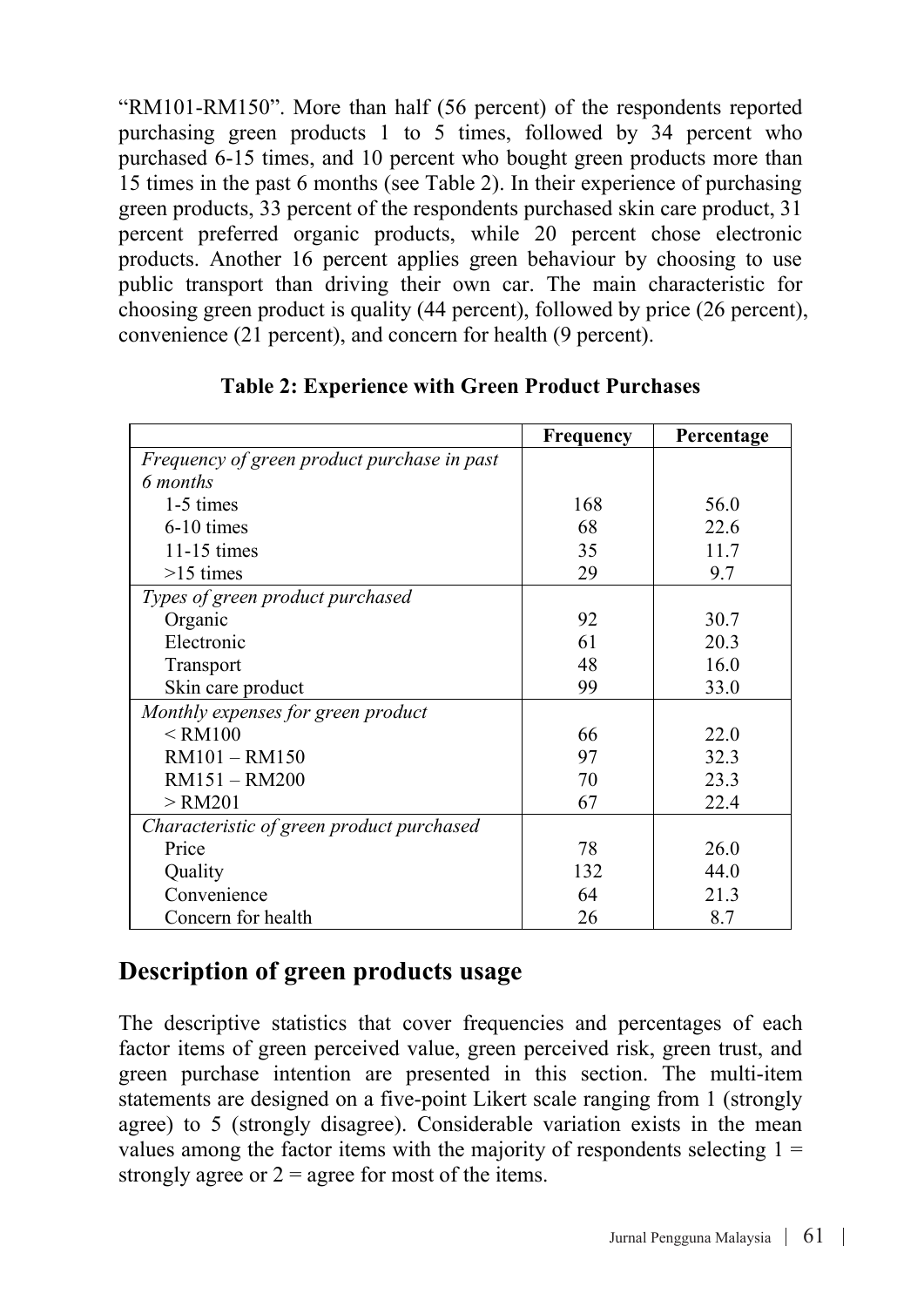"RM101-RM150". More than half (56 percent) of the respondents reported purchasing green products 1 to 5 times, followed by 34 percent who purchased 6-15 times, and 10 percent who bought green products more than 15 times in the past 6 months (see Table 2). In their experience of purchasing green products, 33 percent of the respondents purchased skin care product, 31 percent preferred organic products, while 20 percent chose electronic products. Another 16 percent applies green behaviour by choosing to use public transport than driving their own car. The main characteristic for choosing green product is quality (44 percent), followed by price (26 percent), convenience (21 percent), and concern for health (9 percent).

|                                             | Frequency | Percentage |
|---------------------------------------------|-----------|------------|
| Frequency of green product purchase in past |           |            |
| 6 months                                    |           |            |
| 1-5 times                                   | 168       | 56.0       |
| $6-10$ times                                | 68        | 22.6       |
| $11-15$ times                               | 35        | 11.7       |
| $>15$ times                                 | 29        | 9.7        |
| Types of green product purchased            |           |            |
| Organic                                     | 92        | 30.7       |
| Electronic                                  | 61        | 20.3       |
| Transport                                   | 48        | 16.0       |
| Skin care product                           | 99        | 33.0       |
| Monthly expenses for green product          |           |            |
| $\le$ RM100                                 | 66        | 22.0       |
| $RM101 - RM150$                             | 97        | 32.3       |
| $RM151 - RM200$                             | 70        | 23.3       |
| $>$ RM201                                   | 67        | 22.4       |
| Characteristic of green product purchased   |           |            |
| Price                                       | 78        | 26.0       |
| Quality                                     | 132       | 44.0       |
| Convenience                                 | 64        | 21.3       |
| Concern for health                          | 26        | 8.7        |

#### **Table 2: Experience with Green Product Purchases**

### **Description of green products usage**

The descriptive statistics that cover frequencies and percentages of each factor items of green perceived value, green perceived risk, green trust, and green purchase intention are presented in this section. The multi-item statements are designed on a five-point Likert scale ranging from 1 (strongly agree) to 5 (strongly disagree). Considerable variation exists in the mean values among the factor items with the majority of respondents selecting  $1 =$ strongly agree or  $2$  = agree for most of the items.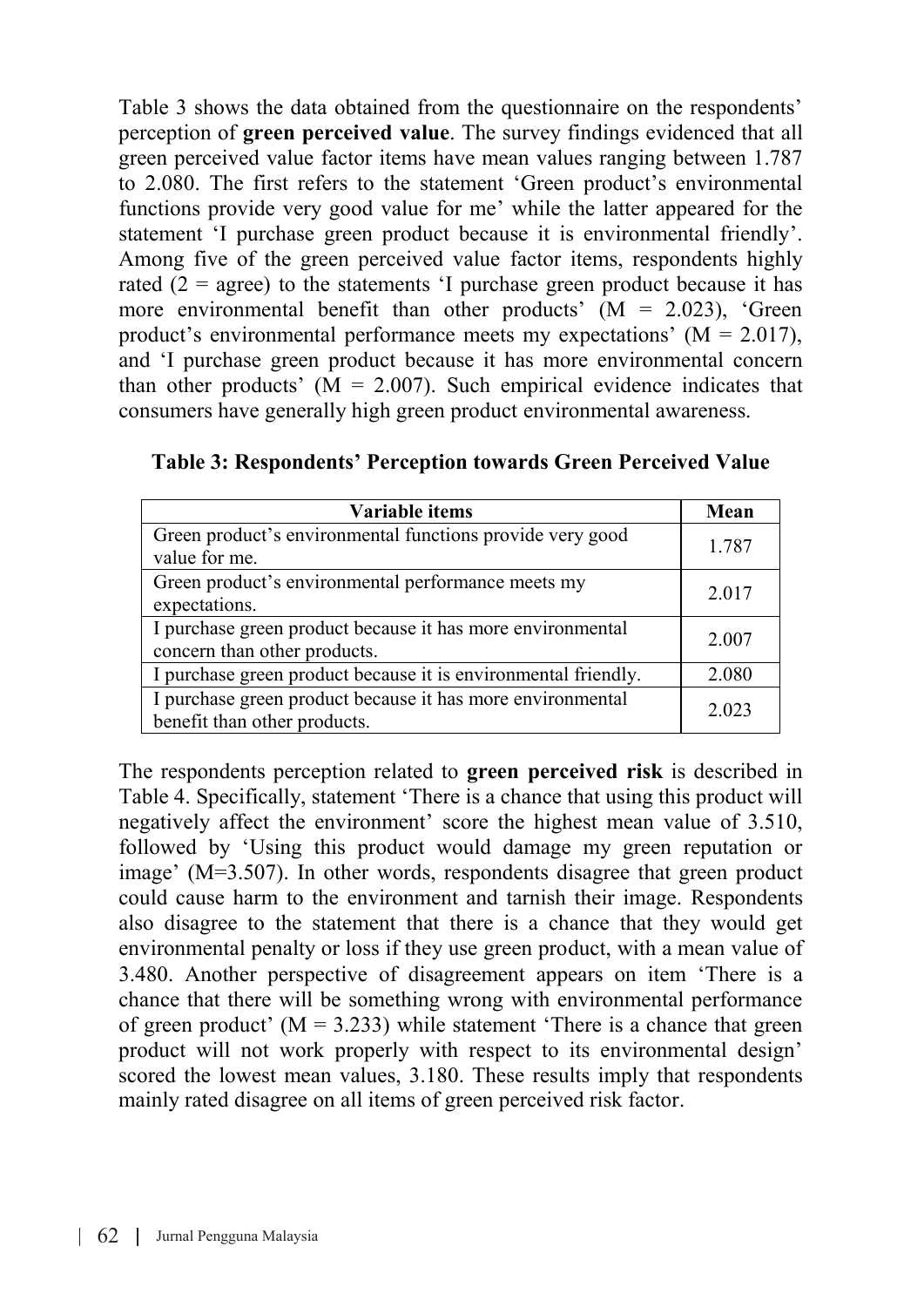Table 3 shows the data obtained from the questionnaire on the respondents' perception of **green perceived value**. The survey findings evidenced that all green perceived value factor items have mean values ranging between 1.787 to 2.080. The first refers to the statement 'Green product's environmental functions provide very good value for me' while the latter appeared for the statement 'I purchase green product because it is environmental friendly'. Among five of the green perceived value factor items, respondents highly rated  $(2 = \text{agree})$  to the statements 'I purchase green product because it has more environmental benefit than other products'  $(M = 2.023)$ , 'Green product's environmental performance meets my expectations'  $(M = 2.017)$ , and 'I purchase green product because it has more environmental concern than other products'  $(M = 2.007)$ . Such empirical evidence indicates that consumers have generally high green product environmental awareness.

| Variable items                                                                             | Mean  |
|--------------------------------------------------------------------------------------------|-------|
| Green product's environmental functions provide very good<br>value for me.                 | 1.787 |
| Green product's environmental performance meets my<br>expectations.                        | 2.017 |
| I purchase green product because it has more environmental<br>concern than other products. | 2.007 |
| I purchase green product because it is environmental friendly.                             | 2.080 |
| I purchase green product because it has more environmental<br>benefit than other products. | 2.023 |

The respondents perception related to **green perceived risk** is described in Table 4. Specifically, statement 'There is a chance that using this product will negatively affect the environment' score the highest mean value of 3.510, followed by 'Using this product would damage my green reputation or image' (M=3.507). In other words, respondents disagree that green product could cause harm to the environment and tarnish their image. Respondents also disagree to the statement that there is a chance that they would get environmental penalty or loss if they use green product, with a mean value of 3.480. Another perspective of disagreement appears on item 'There is a chance that there will be something wrong with environmental performance of green product'  $(M = 3.233)$  while statement 'There is a chance that green product will not work properly with respect to its environmental design' scored the lowest mean values, 3.180. These results imply that respondents mainly rated disagree on all items of green perceived risk factor.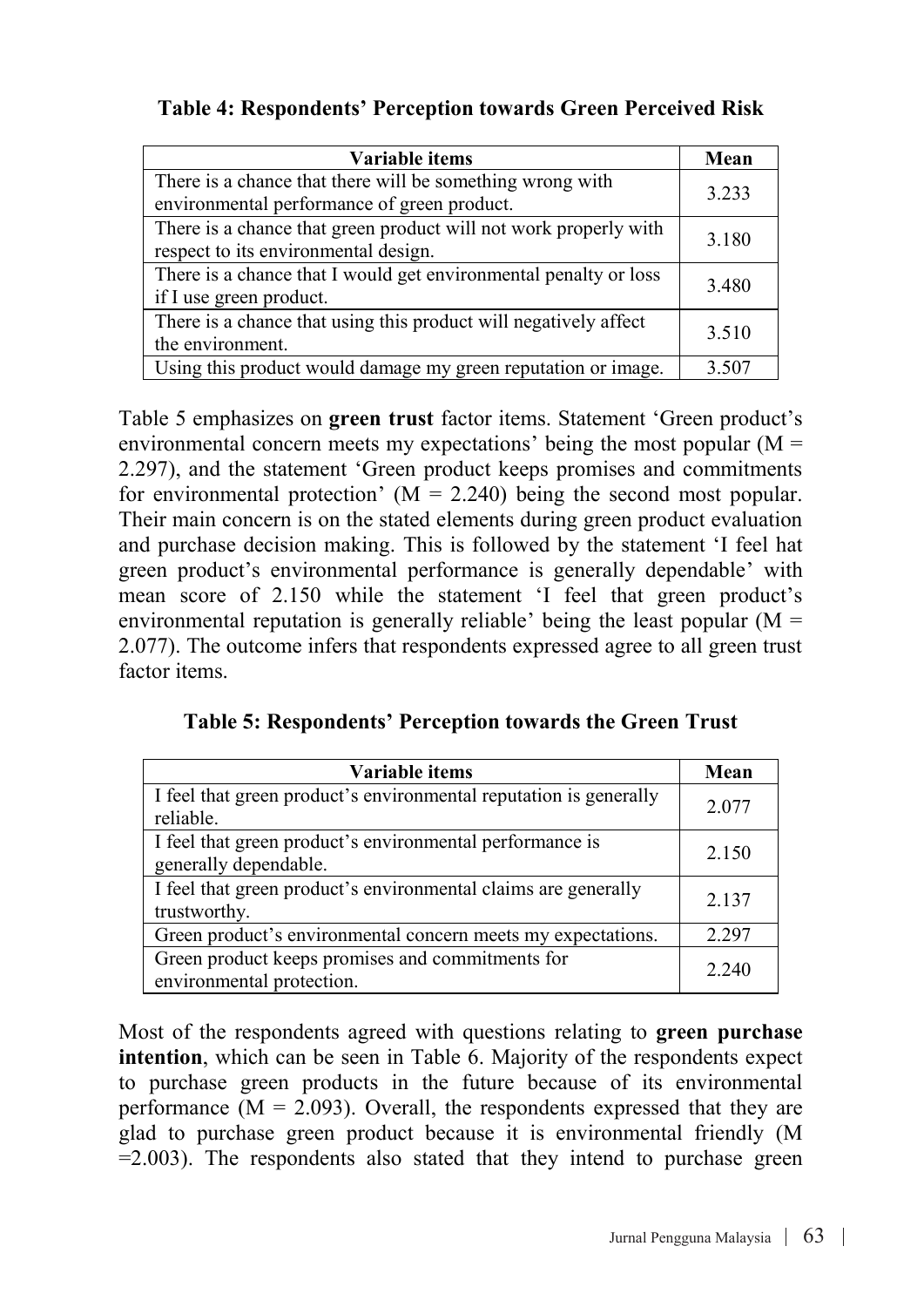| Variable items                                                                                           | Mean  |
|----------------------------------------------------------------------------------------------------------|-------|
| There is a chance that there will be something wrong with<br>environmental performance of green product. | 3.233 |
| There is a chance that green product will not work properly with<br>respect to its environmental design. | 3.180 |
| There is a chance that I would get environmental penalty or loss<br>if I use green product.              | 3.480 |
| There is a chance that using this product will negatively affect<br>the environment.                     | 3.510 |
| Using this product would damage my green reputation or image.                                            | 3.507 |

|  |  | Table 4: Respondents' Perception towards Green Perceived Risk |
|--|--|---------------------------------------------------------------|
|--|--|---------------------------------------------------------------|

Table 5 emphasizes on **green trust** factor items. Statement 'Green product's environmental concern meets my expectations' being the most popular  $(M =$ 2.297), and the statement 'Green product keeps promises and commitments for environmental protection'  $(M = 2.240)$  being the second most popular. Their main concern is on the stated elements during green product evaluation and purchase decision making. This is followed by the statement 'I feel hat green product's environmental performance is generally dependable' with mean score of 2.150 while the statement 'I feel that green product's environmental reputation is generally reliable' being the least popular ( $M =$ 2.077). The outcome infers that respondents expressed agree to all green trust factor items

**Table 5: Respondents' Perception towards the Green Trust**

| Variable items                                                                    | Mean  |
|-----------------------------------------------------------------------------------|-------|
| I feel that green product's environmental reputation is generally<br>reliable.    | 2.077 |
| I feel that green product's environmental performance is<br>generally dependable. | 2.150 |
| I feel that green product's environmental claims are generally<br>trustworthy.    | 2.137 |
| Green product's environmental concern meets my expectations.                      | 2.297 |
| Green product keeps promises and commitments for<br>environmental protection.     | 2.240 |

Most of the respondents agreed with questions relating to **green purchase intention**, which can be seen in Table 6. Majority of the respondents expect to purchase green products in the future because of its environmental performance  $(M = 2.093)$ . Overall, the respondents expressed that they are glad to purchase green product because it is environmental friendly (M  $=$  2.003). The respondents also stated that they intend to purchase green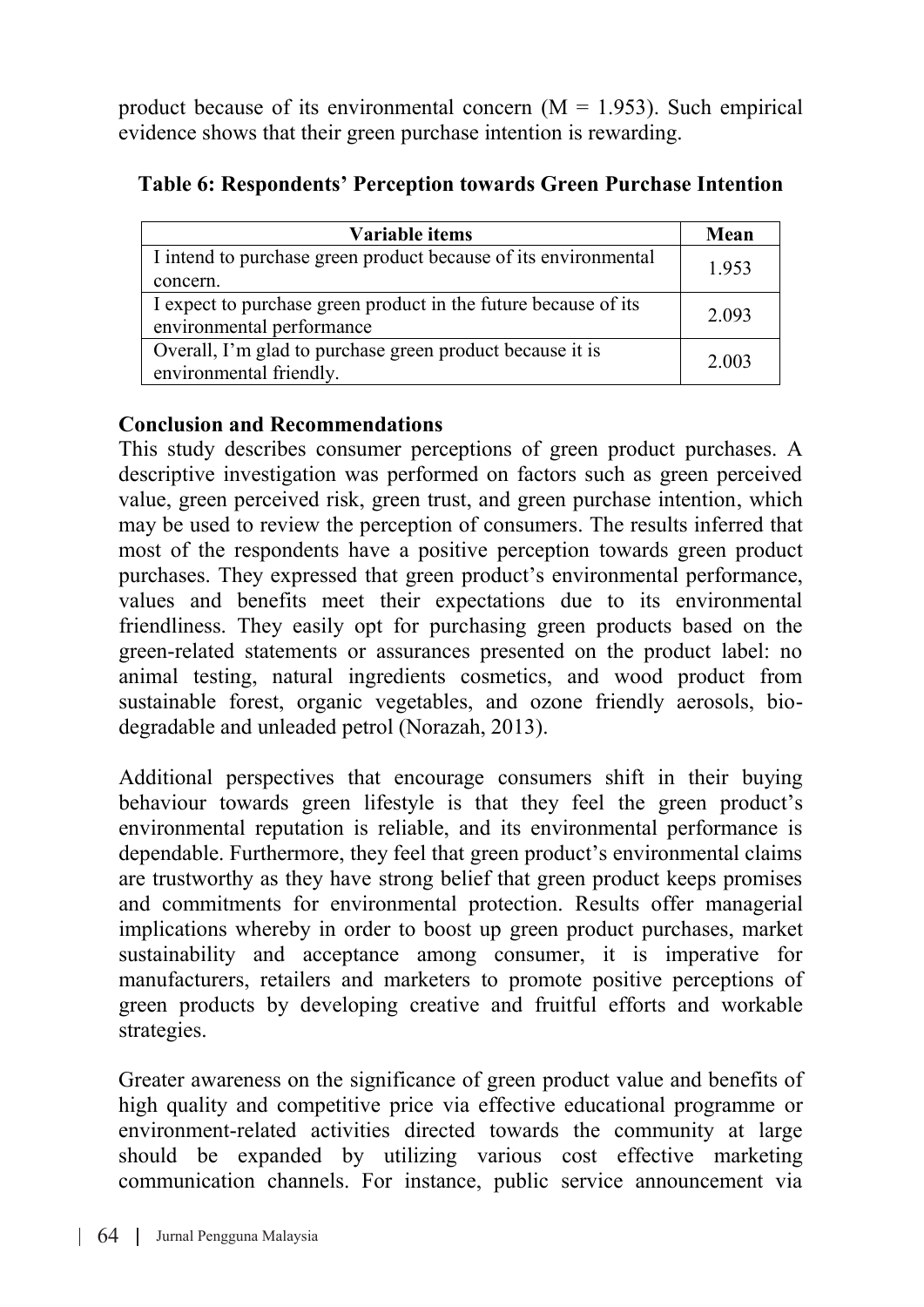product because of its environmental concern  $(M = 1.953)$ . Such empirical evidence shows that their green purchase intention is rewarding.

| Variable items                                                                               | Mean  |
|----------------------------------------------------------------------------------------------|-------|
| I intend to purchase green product because of its environmental<br>concern.                  | 1.953 |
| I expect to purchase green product in the future because of its<br>environmental performance | 2.093 |
| Overall, I'm glad to purchase green product because it is<br>environmental friendly.         | 2.003 |

#### **Table 6: Respondents' Perception towards Green Purchase Intention**

#### **Conclusion and Recommendations**

This study describes consumer perceptions of green product purchases. A descriptive investigation was performed on factors such as green perceived value, green perceived risk, green trust, and green purchase intention, which may be used to review the perception of consumers. The results inferred that most of the respondents have a positive perception towards green product purchases. They expressed that green product's environmental performance, values and benefits meet their expectations due to its environmental friendliness. They easily opt for purchasing green products based on the green-related statements or assurances presented on the product label: no animal testing, natural ingredients cosmetics, and wood product from sustainable forest, organic vegetables, and ozone friendly aerosols, biodegradable and unleaded petrol (Norazah, 2013).

Additional perspectives that encourage consumers shift in their buying behaviour towards green lifestyle is that they feel the green product's environmental reputation is reliable, and its environmental performance is dependable. Furthermore, they feel that green product's environmental claims are trustworthy as they have strong belief that green product keeps promises and commitments for environmental protection. Results offer managerial implications whereby in order to boost up green product purchases, market sustainability and acceptance among consumer, it is imperative for manufacturers, retailers and marketers to promote positive perceptions of green products by developing creative and fruitful efforts and workable strategies.

Greater awareness on the significance of green product value and benefits of high quality and competitive price via effective educational programme or environment-related activities directed towards the community at large should be expanded by utilizing various cost effective marketing communication channels. For instance, public service announcement via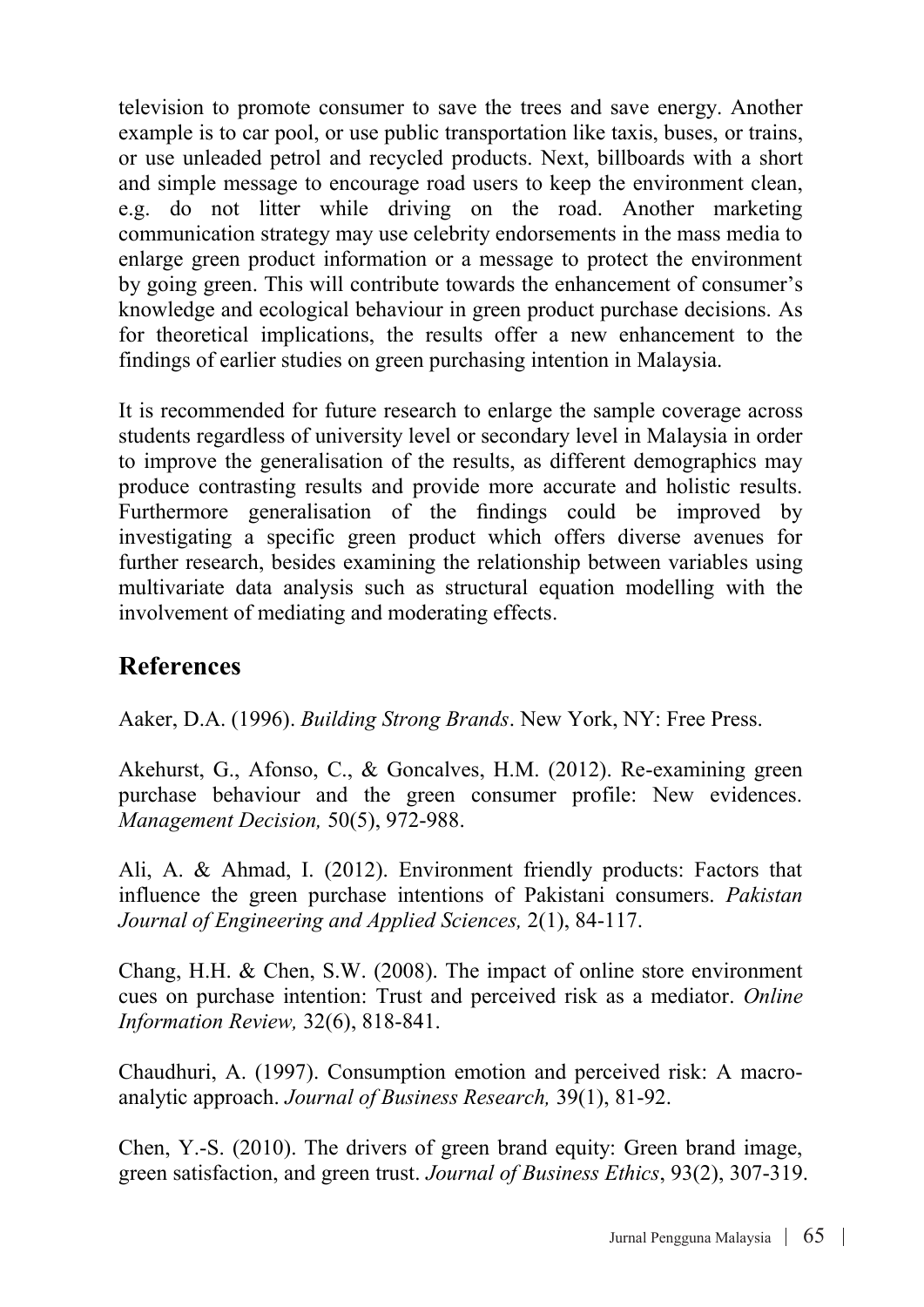television to promote consumer to save the trees and save energy. Another example is to car pool, or use public transportation like taxis, buses, or trains, or use unleaded petrol and recycled products. Next, billboards with a short and simple message to encourage road users to keep the environment clean, e.g. do not litter while driving on the road. Another marketing communication strategy may use celebrity endorsements in the mass media to enlarge green product information or a message to protect the environment by going green. This will contribute towards the enhancement of consumer's knowledge and ecological behaviour in green product purchase decisions. As for theoretical implications, the results offer a new enhancement to the findings of earlier studies on green purchasing intention in Malaysia.

It is recommended for future research to enlarge the sample coverage across students regardless of university level or secondary level in Malaysia in order to improve the generalisation of the results, as different demographics may produce contrasting results and provide more accurate and holistic results. Furthermore generalisation of the findings could be improved by investigating a specific green product which offers diverse avenues for further research, besides examining the relationship between variables using multivariate data analysis such as structural equation modelling with the involvement of mediating and moderating effects.

### **References**

Aaker, D.A. (1996). *Building Strong Brands*. New York, NY: Free Press.

Akehurst, G., Afonso, C., & Goncalves, H.M. (2012). Re-examining green purchase behaviour and the green consumer profile: New evidences. *Management Decision,* 50(5), 972-988.

Ali, A. & Ahmad, I. (2012). Environment friendly products: Factors that influence the green purchase intentions of Pakistani consumers. *Pakistan Journal of Engineering and Applied Sciences,* 2(1), 84-117.

Chang, H.H. & Chen, S.W. (2008). The impact of online store environment cues on purchase intention: Trust and perceived risk as a mediator. *Online Information Review,* 32(6), 818-841.

Chaudhuri, A. (1997). Consumption emotion and perceived risk: A macroanalytic approach. *Journal of Business Research,* 39(1), 81-92.

Chen, Y.-S. (2010). The drivers of green brand equity: Green brand image, green satisfaction, and green trust. *Journal of Business Ethics*, 93(2), 307-319.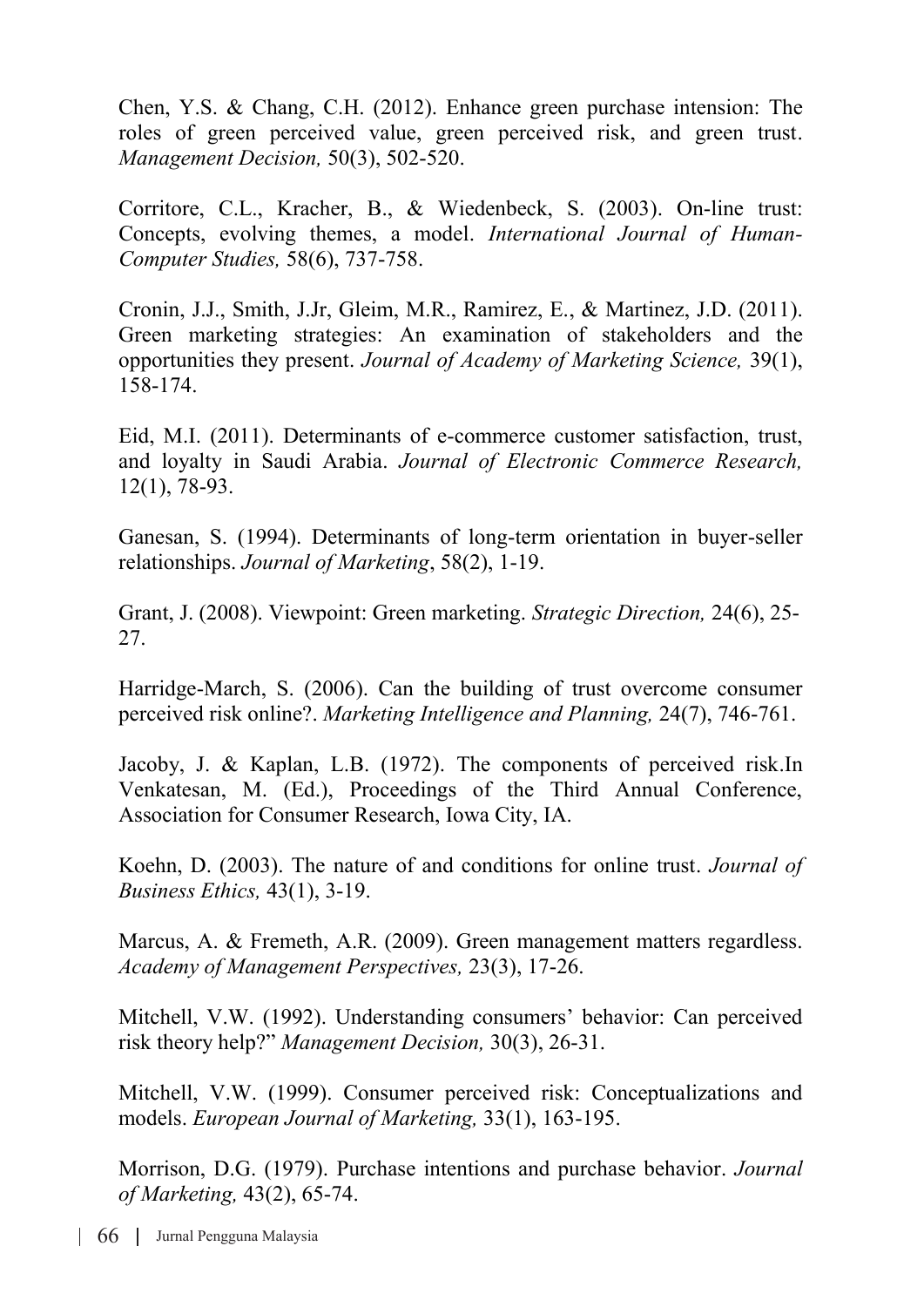Chen, Y.S. & Chang, C.H. (2012). Enhance green purchase intension: The roles of green perceived value, green perceived risk, and green trust. *Management Decision,* 50(3), 502-520.

Corritore, C.L., Kracher, B., & Wiedenbeck, S. (2003). On-line trust: Concepts, evolving themes, a model. *International Journal of Human-Computer Studies,* 58(6), 737-758.

Cronin, J.J., Smith, J.Jr, Gleim, M.R., Ramirez, E., & Martinez, J.D. (2011). Green marketing strategies: An examination of stakeholders and the opportunities they present. *Journal of Academy of Marketing Science,* 39(1), 158-174.

Eid, M.I. (2011). Determinants of e-commerce customer satisfaction, trust, and loyalty in Saudi Arabia. *Journal of Electronic Commerce Research,*  12(1), 78-93.

Ganesan, S. (1994). Determinants of long-term orientation in buyer-seller relationships. *Journal of Marketing*, 58(2), 1-19.

Grant, J. (2008). Viewpoint: Green marketing. *Strategic Direction,* 24(6), 25- 27.

Harridge-March, S. (2006). Can the building of trust overcome consumer perceived risk online?. *Marketing Intelligence and Planning,* 24(7), 746-761.

Jacoby, J. & Kaplan, L.B. (1972). The components of perceived risk.In Venkatesan, M. (Ed.), Proceedings of the Third Annual Conference, Association for Consumer Research, Iowa City, IA.

Koehn, D. (2003). The nature of and conditions for online trust. *Journal of Business Ethics,* 43(1), 3-19.

Marcus, A. & Fremeth, A.R. (2009). Green management matters regardless. *Academy of Management Perspectives,* 23(3), 17-26.

Mitchell, V.W. (1992). Understanding consumers' behavior: Can perceived risk theory help?" *Management Decision,* 30(3), 26-31.

Mitchell, V.W. (1999). Consumer perceived risk: Conceptualizations and models. *European Journal of Marketing,* 33(1), 163-195.

Morrison, D.G. (1979). Purchase intentions and purchase behavior. *Journal of Marketing,* 43(2), 65-74.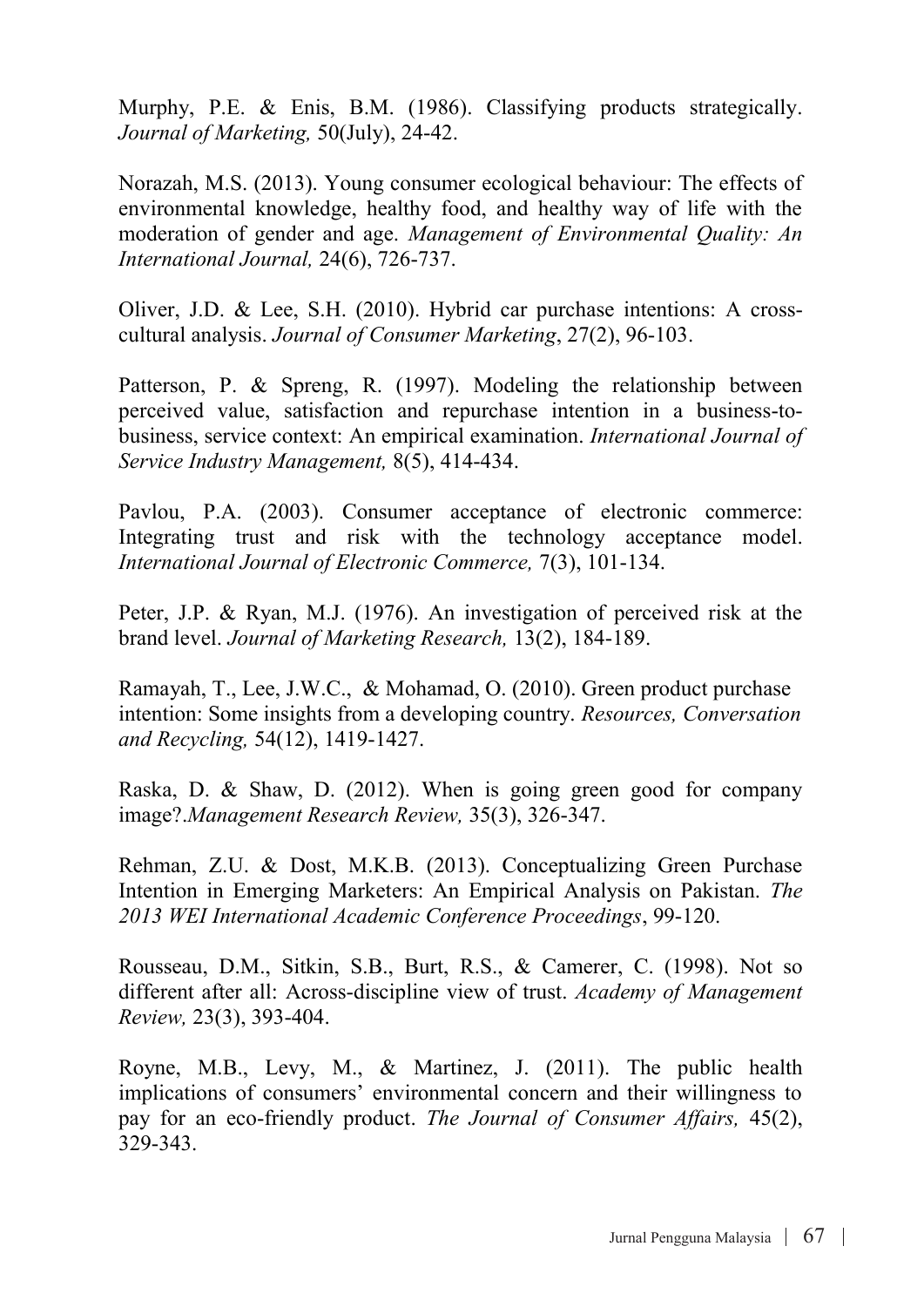Murphy, P.E. & Enis, B.M. (1986). Classifying products strategically. *Journal of Marketing,* 50(July), 24-42.

Norazah, M.S. (2013). Young consumer ecological behaviour: The effects of environmental knowledge, healthy food, and healthy way of life with the moderation of gender and age. *Management of Environmental Quality: An International Journal,* 24(6), 726-737.

Oliver, J.D. & Lee, S.H. (2010). Hybrid car purchase intentions: A crosscultural analysis. *Journal of Consumer Marketing*, 27(2), 96-103.

Patterson, P. & Spreng, R. (1997). Modeling the relationship between perceived value, satisfaction and repurchase intention in a business-tobusiness, service context: An empirical examination. *International Journal of Service Industry Management,* 8(5), 414-434.

Pavlou, P.A. (2003). Consumer acceptance of electronic commerce: Integrating trust and risk with the technology acceptance model. *International Journal of Electronic Commerce,* 7(3), 101-134.

Peter, J.P. & Ryan, M.J. (1976). An investigation of perceived risk at the brand level. *Journal of Marketing Research,* 13(2), 184-189.

Ramayah, T., Lee, J.W.C., & Mohamad, O. (2010). Green product purchase intention: Some insights from a developing country. *Resources, Conversation and Recycling,* 54(12), 1419-1427.

Raska, D. & Shaw, D. (2012). When is going green good for company image?.*Management Research Review,* 35(3), 326-347.

Rehman, Z.U. & Dost, M.K.B. (2013). Conceptualizing Green Purchase Intention in Emerging Marketers: An Empirical Analysis on Pakistan. *The 2013 WEI International Academic Conference Proceedings*, 99-120.

Rousseau, D.M., Sitkin, S.B., Burt, R.S., & Camerer, C. (1998). Not so different after all: Across-discipline view of trust. *Academy of Management Review,* 23(3), 393-404.

Royne, M.B., Levy, M., & Martinez, J. (2011). The public health implications of consumers' environmental concern and their willingness to pay for an eco-friendly product. *The Journal of Consumer Affairs,* 45(2), 329-343.